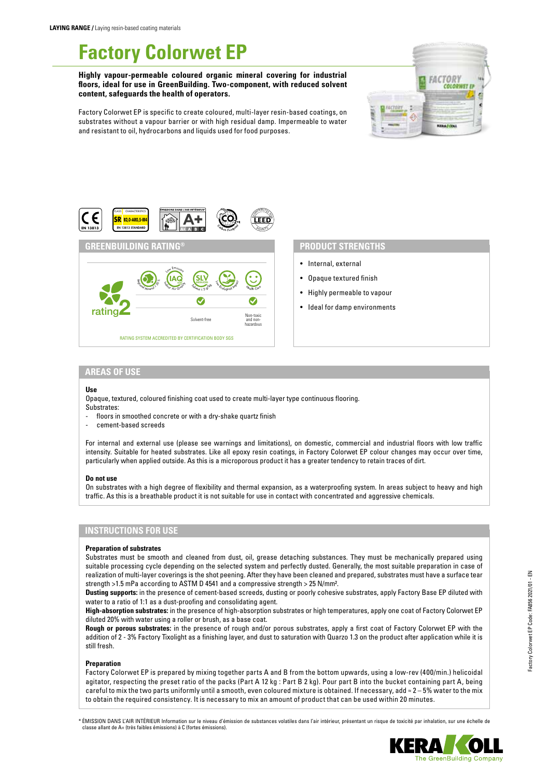# **Factory Colorwet EP**

**Highly vapour-permeable coloured organic mineral covering for industrial floors, ideal for use in GreenBuilding. Two-component, with reduced solvent content, safeguards the health of operators.**



Factory Colorwet EP is specific to create coloured, multi-layer resin-based coatings, on substrates without a vapour barrier or with high residual damp. Impermeable to water and resistant to oil, hydrocarbons and liquids used for food purposes.



## **PRODUCT STRENGTHS**

- Internal, external
- Opaque textured finish
- Highly permeable to vapour
- Ideal for damp environments

## **AREAS OF USE**

#### **Use**

Opaque, textured, coloured finishing coat used to create multi-layer type continuous flooring. Substrates:

- floors in smoothed concrete or with a dry-shake quartz finish
- cement-based screeds

For internal and external use (please see warnings and limitations), on domestic, commercial and industrial floors with low traffic intensity. Suitable for heated substrates. Like all epoxy resin coatings, in Factory Colorwet EP colour changes may occur over time, particularly when applied outside. As this is a microporous product it has a greater tendency to retain traces of dirt.

#### **Do not use**

On substrates with a high degree of flexibility and thermal expansion, as a waterproofing system. In areas subject to heavy and high traffic. As this is a breathable product it is not suitable for use in contact with concentrated and aggressive chemicals.

# **INSTRUCTIONS FOR USE**

### **Preparation of substrates**

Substrates must be smooth and cleaned from dust, oil, grease detaching substances. They must be mechanically prepared using suitable processing cycle depending on the selected system and perfectly dusted. Generally, the most suitable preparation in case of realization of multi-layer coverings is the shot peening. After they have been cleaned and prepared, substrates must have a surface tear strength >1.5 mPa according to ASTM D 4541 and a compressive strength > 25 N/mm².

**Dusting supports:** in the presence of cement-based screeds, dusting or poorly cohesive substrates, apply Factory Base EP diluted with water to a ratio of 1:1 as a dust-proofing and consolidating agent.

**High-absorption substrates:** in the presence of high-absorption substrates or high temperatures, apply one coat of Factory Colorwet EP diluted 20% with water using a roller or brush, as a base coat.

**Rough or porous substrates:** in the presence of rough and/or porous substrates, apply a first coat of Factory Colorwet EP with the addition of 2 - 3% Factory Tixolight as a finishing layer, and dust to saturation with Quarzo 1.3 on the product after application while it is still fresh.

## **Preparation**

Factory Colorwet EP is prepared by mixing together parts A and B from the bottom upwards, using a low-rev (400/min.) helicoidal agitator, respecting the preset ratio of the packs (Part A 12 kg : Part B 2 kg). Pour part B into the bucket containing part A, being careful to mix the two parts uniformly until a smooth, even coloured mixture is obtained. If necessary, add ≈  $2-5$ % water to the mix to obtain the required consistency. It is necessary to mix an amount of product that can be used within 20 minutes.

\* ÉMISSION DANS L'AIR INTÉRIEUR Information sur le niveau d'émission de substances volatiles dans l'air intérieur, présentant un risque de toxicité par inhalation, sur une échelle de classe allant de A+ (très faibles émissions) à C (fortes émissions).

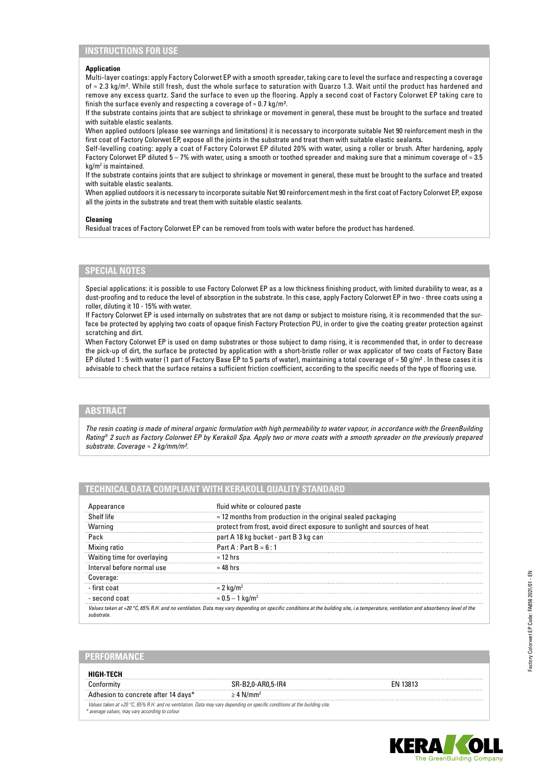# **INSTRUCTIONS FOR USE**

#### **Application**

Multi-layer coatings: apply Factory Colorwet EP with a smooth spreader, taking care to level the surface and respecting a coverage of ≈ 2.3 kg/m². While still fresh, dust the whole surface to saturation with Quarzo 1.3. Wait until the product has hardened and remove any excess quartz. Sand the surface to even up the flooring. Apply a second coat of Factory Colorwet EP taking care to finish the surface evenly and respecting a coverage of  $\approx 0.7$  kg/m<sup>2</sup>.

If the substrate contains joints that are subject to shrinkage or movement in general, these must be brought to the surface and treated with suitable elastic sealants.

When applied outdoors (please see warnings and limitations) it is necessary to incorporate suitable Net 90 reinforcement mesh in the first coat of Factory Colorwet EP, expose all the joints in the substrate and treat them with suitable elastic sealants.

Self-levelling coating: apply a coat of Factory Colorwet EP diluted 20% with water, using a roller or brush. After hardening, apply Factory Colorwet EP diluted 5 – 7% with water, using a smooth or toothed spreader and making sure that a minimum coverage of ≈ 3.5 kg/m2 is maintained.

If the substrate contains joints that are subject to shrinkage or movement in general, these must be brought to the surface and treated with suitable elastic sealants.

When applied outdoors it is necessary to incorporate suitable Net 90 reinforcement mesh in the first coat of Factory Colorwet EP, expose all the joints in the substrate and treat them with suitable elastic sealants.

#### **Cleaning**

Residual traces of Factory Colorwet EP can be removed from tools with water before the product has hardened.

## **SPECIAL NOTES**

Special applications: it is possible to use Factory Colorwet EP as a low thickness finishing product, with limited durability to wear, as a dust-proofing and to reduce the level of absorption in the substrate. In this case, apply Factory Colorwet EP in two - three coats using a roller, diluting it 10 - 15% with water.

If Factory Colorwet EP is used internally on substrates that are not damp or subject to moisture rising, it is recommended that the surface be protected by applying two coats of opaque finish Factory Protection PU, in order to give the coating greater protection against scratching and dirt.

When Factory Colorwet EP is used on damp substrates or those subject to damp rising, it is recommended that, in order to decrease the pick-up of dirt, the surface be protected by application with a short-bristle roller or wax applicator of two coats of Factory Base EP diluted 1 : 5 with water (1 part of Factory Base EP to 5 parts of water), maintaining a total coverage of  $\approx$  50 g/m<sup>2</sup>. In these cases it is advisable to check that the surface retains a sufficient friction coefficient, according to the specific needs of the type of flooring use.

# **ABSTRACT**

*The resin coating is made of mineral organic formulation with high permeability to water vapour, in accordance with the GreenBuilding Rating® 2 such as Factory Colorwet EP by Kerakoll Spa. Apply two or more coats with a smooth spreader on the previously prepared substrate. Coverage ≈ 2 kg/mm/m².*

## **TECHNICAL DATA COMPLIANT WITH KERAKOLL QUALITY STANDARD**

| pearance                    | fluid white or coloured paste                                                                                                                                                               |  |
|-----------------------------|---------------------------------------------------------------------------------------------------------------------------------------------------------------------------------------------|--|
| Shelf life                  | $\approx$ 12 months from production in the original sealed packaging                                                                                                                        |  |
| Warning                     | protect from frost, avoid direct exposure to sunlight and sources of heat                                                                                                                   |  |
| Pack                        | part A 18 kg bucket - part B 3 kg can                                                                                                                                                       |  |
| Mixing ratio                | Part A : Part $B = 6:1$                                                                                                                                                                     |  |
| Waiting time for overlaving | $\approx$ 12 hrs                                                                                                                                                                            |  |
| Interval before normal use  | $\approx 48$ hrs                                                                                                                                                                            |  |
| Coverage:                   |                                                                                                                                                                                             |  |
| - first coat                | $\approx$ 2 kg/m <sup>2</sup>                                                                                                                                                               |  |
| - second coat               | $\approx 0.5-1$ kg/m <sup>2</sup>                                                                                                                                                           |  |
|                             | Values taken at +20 $\degree$ C, 65% R.H. and no ventilation. Data may vary depending on specific conditions at the building site, i.e.temperature, ventilation and absorbency level of the |  |

## **PERFORMANCE**

| HIGH-TFCH                                                                                                                                                                   |                            |          |
|-----------------------------------------------------------------------------------------------------------------------------------------------------------------------------|----------------------------|----------|
|                                                                                                                                                                             | SR-B2.0-AR0.5-IR4          | FN 13813 |
| Adhesion to concrete after 14 days*                                                                                                                                         | $\geq 4$ N/mm <sup>2</sup> |          |
| Values taken at +20 °C, 65% R.H. and no ventilation. Data may vary depending on specific conditions at the building site.<br>* average values, may vary according to colour |                            |          |